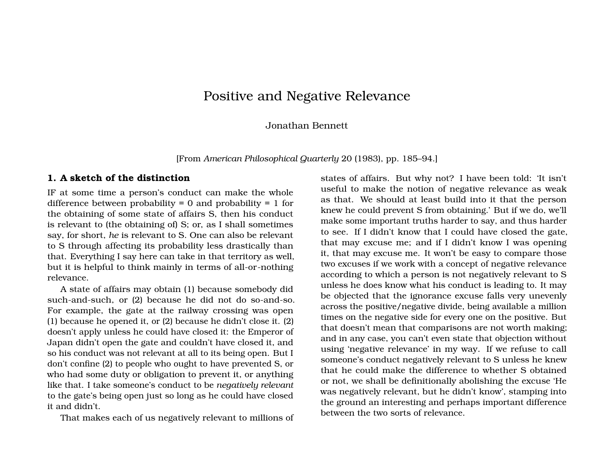# Positive and Negative Relevance

Jonathan Bennett

[From *American Philosophical Quarterly* 20 (1983), pp. 185–94.]

#### **1. A sketch of the distinction**

IF at some time a person's conduct can make the whole difference between probability  $= 0$  and probability  $= 1$  for the obtaining of some state of affairs S, then his conduct is relevant to (the obtaining of) S; or, as I shall sometimes say, for short, *he* is relevant to S. One can also be relevant to S through affecting its probability less drastically than that. Everything I say here can take in that territory as well, but it is helpful to think mainly in terms of all-or-nothing relevance.

A state of affairs may obtain (1) because somebody did such-and-such, or (2) because he did not do so-and-so. For example, the gate at the railway crossing was open (1) because he opened it, or (2) because he didn't close it. (2) doesn't apply unless he could have closed it: the Emperor of Japan didn't open the gate and couldn't have closed it, and so his conduct was not relevant at all to its being open. But I don't confine (2) to people who ought to have prevented S, or who had some duty or obligation to prevent it, or anything like that. I take someone's conduct to be *negatively relevant* to the gate's being open just so long as he could have closed it and didn't.

That makes each of us negatively relevant to millions of

states of affairs. But why not? I have been told: 'It isn't useful to make the notion of negative relevance as weak as that. We should at least build into it that the person knew he could prevent S from obtaining.' But if we do, we'll make some important truths harder to say, and thus harder to see. If I didn't know that I could have closed the gate, that may excuse me; and if I didn't know I was opening it, that may excuse me. It won't be easy to compare those two excuses if we work with a concept of negative relevance according to which a person is not negatively relevant to S unless he does know what his conduct is leading to. It may be objected that the ignorance excuse falls very unevenly across the positive/negative divide, being available a million times on the negative side for every one on the positive. But that doesn't mean that comparisons are not worth making; and in any case, you can't even state that objection without using 'negative relevance' in my way. If we refuse to call someone's conduct negatively relevant to S unless he knew that he could make the difference to whether S obtained or not, we shall be definitionally abolishing the excuse 'He was negatively relevant, but he didn't know', stamping into the ground an interesting and perhaps important difference between the two sorts of relevance.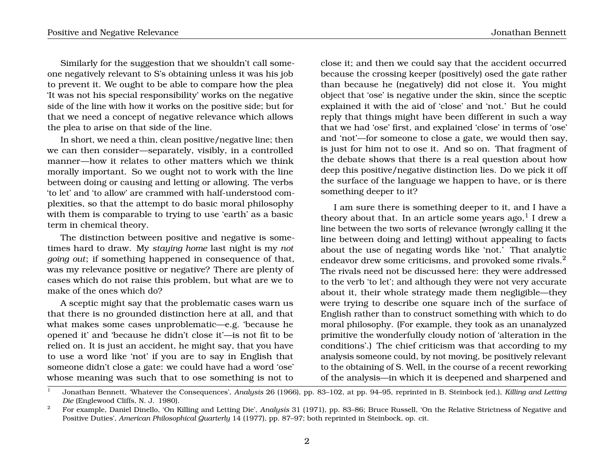Similarly for the suggestion that we shouldn't call someone negatively relevant to S's obtaining unless it was his job to prevent it. We ought to be able to compare how the plea 'It was not his special responsibility' works on the negative side of the line with how it works on the positive side; but for that we need a concept of negative relevance which allows the plea to arise on that side of the line.

In short, we need a thin, clean positive/negative line; then we can then consider—separately, visibly, in a controlled manner—how it relates to other matters which we think morally important. So we ought not to work with the line between doing or causing and letting or allowing. The verbs 'to let' and 'to allow' are crammed with half-understood complexities, so that the attempt to do basic moral philosophy with them is comparable to trying to use 'earth' as a basic term in chemical theory.

The distinction between positive and negative is sometimes hard to draw. My *staying home* last night is my *not going out*; if something happened in consequence of that, was my relevance positive or negative? There are plenty of cases which do not raise this problem, but what are we to make of the ones which do?

A sceptic might say that the problematic cases warn us that there is no grounded distinction here at all, and that what makes some cases unproblematic—e.g. 'because he opened it' and 'because he didn't close it'—is not fit to be relied on. It is just an accident, he might say, that you have to use a word like 'not' if you are to say in English that someone didn't close a gate: we could have had a word 'ose' whose meaning was such that to ose something is not to

close it; and then we could say that the accident occurred because the crossing keeper (positively) osed the gate rather than because he (negatively) did not close it. You might object that 'ose' is negative under the skin, since the sceptic explained it with the aid of 'close' and 'not.' But he could reply that things might have been different in such a way that we had 'ose' first, and explained 'close' in terms of 'ose' and 'not'—for someone to close a gate, we would then say, is just for him not to ose it. And so on. That fragment of the debate shows that there is a real question about how deep this positive/negative distinction lies. Do we pick it off the surface of the language we happen to have, or is there something deeper to it?

I am sure there is something deeper to it, and I have a theory about that. In an article some years ago, $^1$  I drew a line between the two sorts of relevance (wrongly calling it the line between doing and letting) without appealing to facts about the use of negating words like 'not.' That analytic endeavor drew some criticisms, and provoked some rivals.<sup>2</sup> The rivals need not be discussed here: they were addressed to the verb 'to let'; and although they were not very accurate about it, their whole strategy made them negligible—they were trying to describe one square inch of the surface of English rather than to construct something with which to do moral philosophy. (For example, they took as an unanalyzed primitive the wonderfully cloudy notion of 'alteration in the conditions'.) The chief criticism was that according to my analysis someone could, by not moving, be positively relevant to the obtaining of S. Well, in the course of a recent reworking of the analysis—in which it is deepened and sharpened and

<sup>1</sup> Jonathan Bennett, 'Whatever the Consequences', *Analysis* 26 (1966), pp. 83–102, at pp. 94–95, reprinted in B. Steinbock (ed.), *Killing and Letting Die* (Englewood Cliffs, N. J. 1980).

<sup>2</sup> For example, Daniel Dinello, 'On Killing and Letting Die', *Analysis* 31 (1971), pp. 83–86; Bruce Russell, 'On the Relative Strictness of Negative and Positive Duties', *American Philosophical Quarterly* 14 (1977), pp. 87–97; both reprinted in Steinbock, op. cit.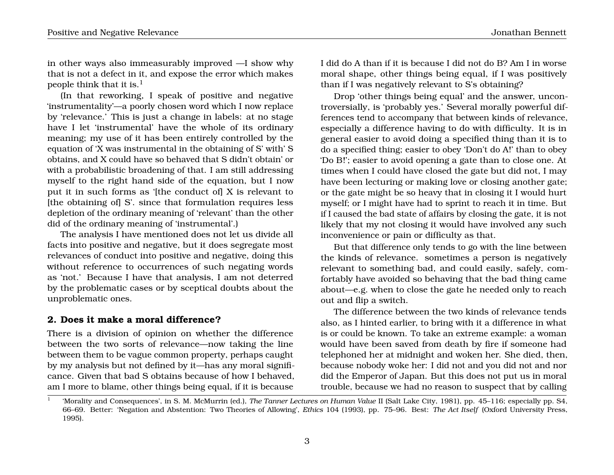in other ways also immeasurably improved —I show why that is not a defect in it, and expose the error which makes people think that it is.<sup>1</sup>

(In that reworking, I speak of positive and negative 'instrumentality'—a poorly chosen word which I now replace by 'relevance.' This is just a change in labels: at no stage have I let 'instrumental' have the whole of its ordinary meaning; my use of it has been entirely controlled by the equation of 'X was instrumental in the obtaining of S' with' S obtains, and X could have so behaved that S didn't obtain' or with a probabilistic broadening of that. I am still addressing myself to the right hand side of the equation, but I now put it in such forms as '[the conduct of] X is relevant to [the obtaining of] S'. since that formulation requires less depletion of the ordinary meaning of 'relevant' than the other did of the ordinary meaning of 'instrumental'.)

The analysis I have mentioned does not let us divide all facts into positive and negative, but it does segregate most relevances of conduct into positive and negative, doing this without reference to occurrences of such negating words as 'not.' Because I have that analysis, I am not deterred by the problematic cases or by sceptical doubts about the unproblematic ones.

## **2. Does it make a moral difference?**

There is a division of opinion on whether the difference between the two sorts of relevance—now taking the line between them to be vague common property, perhaps caught by my analysis but not defined by it—has any moral significance. Given that bad S obtains because of how I behaved, am I more to blame, other things being equal, if it is because

I did do A than if it is because I did not do B? Am I in worse moral shape, other things being equal, if I was positively than if I was negatively relevant to S's obtaining?

Drop 'other things being equal' and the answer, uncontroversially, is 'probably yes.' Several morally powerful differences tend to accompany that between kinds of relevance, especially a difference having to do with difficulty. It is in general easier to avoid doing a specified thing than it is to do a specified thing; easier to obey 'Don't do A!' than to obey 'Do B!'; easier to avoid opening a gate than to close one. At times when I could have closed the gate but did not, I may have been lecturing or making love or closing another gate; or the gate might be so heavy that in closing it I would hurt myself; or I might have had to sprint to reach it in time. But if I caused the bad state of affairs by closing the gate, it is not likely that my not closing it would have involved any such inconvenience or pain or difficulty as that.

But that difference only tends to go with the line between the kinds of relevance. sometimes a person is negatively relevant to something bad, and could easily, safely, comfortably have avoided so behaving that the bad thing came about—e.g. when to close the gate he needed only to reach out and flip a switch.

The difference between the two kinds of relevance tends also, as I hinted earlier, to bring with it a difference in what is or could be known. To take an extreme example: a woman would have been saved from death by fire if someone had telephoned her at midnight and woken her. She died, then, because nobody woke her: I did not and you did not and nor did the Emperor of Japan. But this does not put us in moral trouble, because we had no reason to suspect that by calling

<sup>1</sup> 'Morality and Consequences', in S. M. McMurrin (ed.), *The Tanner Lectures on Human Value* II (Salt Lake City, 1981), pp. 45–116; especially pp. S4, 66–69. Better: 'Negation and Abstention: Two Theories of Allowing', *Ethics* 104 (1993), pp. 75–96. Best: *The Act Itself* (Oxford University Press, 1995).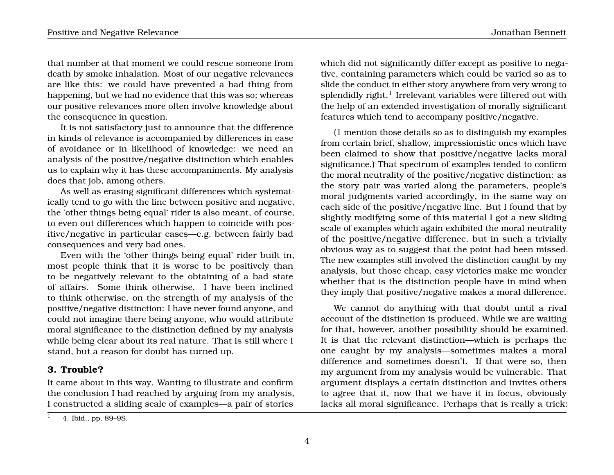that number at that moment we could rescue someone from death by smoke inhalation. Most of our negative relevances are like this: we could have prevented a bad thing from happening, but we had no evidence that this was so; whereas our positive relevances more often involve knowledge about the consequence in question.

It is not satisfactory just to announce that the difference in kinds of relevance is accompanied by differences in ease of avoidance or in likelihood of knowledge: we need an analysis of the positive/negative distinction which enables us to explain why it has these accompaniments. My analysis does that job, among others.

As well as erasing significant differences which systematically tend to go with the line between positive and negative, the 'other things being equal' rider is also meant, of course, to even out differences which happen to coincide with positive/negative in particular cases—e.g. between fairly bad consequences and very bad ones.

Even with the 'other things being equal' rider built in, most people think that it is worse to be positively than to be negatively relevant to the obtaining of a bad state of affairs. Some think otherwise. I have been inclined to think otherwise, on the strength of my analysis of the positive/negative distinction: I have never found anyone, and could not imagine there being anyone, who would attribute moral significance to the distinction defined by my analysis while being clear about its real nature. That is still where I stand, but a reason for doubt has turned up.

#### **3. Trouble?**

It came about in this way. Wanting to illustrate and confirm the conclusion I had reached by arguing from my analysis, I constructed a sliding scale of examples—a pair of stories which did not significantly differ except as positive to negative, containing parameters which could be varied so as to slide the conduct in either story anywhere from very wrong to splendidly right. $^{\rm l}$  Irrelevant variables were filtered out with the help of an extended investigation of morally significant features which tend to accompany positive/negative.

(1 mention those details so as to distinguish my examples from certain brief, shallow, impressionistic ones which have been claimed to show that positive/negative lacks moral significance.) That spectrum of examples tended to confirm the moral neutrality of the positive/negative distinction: as the story pair was varied along the parameters, people's moral judgments varied accordingly, in the same way on each side of the positive/negative line. But I found that by slightly modifying some of this material I got a new sliding scale of examples which again exhibited the moral neutrality of the positive/negative difference, but in such a trivially obvious way as to suggest that the point had been missed. The new examples still involved the distinction caught by my analysis, but those cheap, easy victories make me wonder whether that is the distinction people have in mind when they imply that positive/negative makes a moral difference.

We cannot do anything with that doubt until a rival account of the distinction is produced. While we are waiting for that, however, another possibility should be examined. It is that the relevant distinction—which is perhaps the one caught by my analysis—sometimes makes a moral difference and sometimes doesn't. If that were so, then my argument from my analysis would be vulnerable. That argument displays a certain distinction and invites others to agree that it, now that we have it in focus, obviously lacks all moral significance. Perhaps that is really a trick:

<sup>1</sup> 4. Ibid., pp. 89–9S.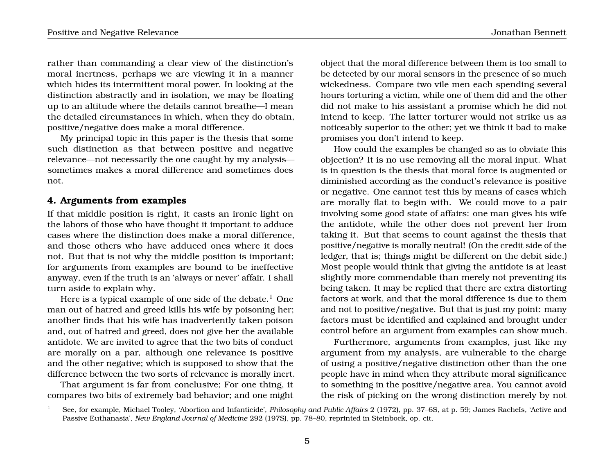rather than commanding a clear view of the distinction's moral inertness, perhaps we are viewing it in a manner which hides its intermittent moral power. In looking at the distinction abstractly and in isolation, we may be floating up to an altitude where the details cannot breathe—I mean the detailed circumstances in which, when they do obtain, positive/negative does make a moral difference.

My principal topic in this paper is the thesis that some such distinction as that between positive and negative relevance—not necessarily the one caught by my analysis sometimes makes a moral difference and sometimes does not.

# **4. Arguments from examples**

If that middle position is right, it casts an ironic light on the labors of those who have thought it important to adduce cases where the distinction does make a moral difference, and those others who have adduced ones where it does not. But that is not why the middle position is important; for arguments from examples are bound to be ineffective anyway, even if the truth is an 'always or never' affair. I shall turn aside to explain why.

Here is a typical example of one side of the debate.<sup>1</sup> One man out of hatred and greed kills his wife by poisoning her; another finds that his wife has inadvertently taken poison and, out of hatred and greed, does not give her the available antidote. We are invited to agree that the two bits of conduct are morally on a par, although one relevance is positive and the other negative; which is supposed to show that the difference between the two sorts of relevance is morally inert.

That argument is far from conclusive; For one thing, it compares two bits of extremely bad behavior; and one might

object that the moral difference between them is too small to be detected by our moral sensors in the presence of so much wickedness. Compare two vile men each spending several hours torturing a victim, while one of them did and the other did not make to his assistant a promise which he did not intend to keep. The latter torturer would not strike us as noticeably superior to the other; yet we think it bad to make promises you don't intend to keep.

How could the examples be changed so as to obviate this objection? It is no use removing all the moral input. What is in question is the thesis that moral force is augmented or diminished according as the conduct's relevance is positive or negative. One cannot test this by means of cases which are morally flat to begin with. We could move to a pair involving some good state of affairs: one man gives his wife the antidote, while the other does not prevent her from taking it. But that seems to count against the thesis that positive/negative is morally neutral! (On the credit side of the ledger, that is; things might be different on the debit side.) Most people would think that giving the antidote is at least slightly more commendable than merely not preventing its being taken. It may be replied that there are extra distorting factors at work, and that the moral difference is due to them and not to positive/negative. But that is just my point: many factors must be identified and explained and brought under control before an argument from examples can show much.

Furthermore, arguments from examples, just like my argument from my analysis, are vulnerable to the charge of using a positive/negative distinction other than the one people have in mind when they attribute moral significance to something in the positive/negative area. You cannot avoid the risk of picking on the wrong distinction merely by not

<sup>1</sup> See, for example, Michael Tooley, 'Abortion and Infanticide', *Philosophy and Public Affairs* 2 (1972), pp. 37–6S, at p. 59; James RacheIs, 'Active and Passive Euthanasia', *New England Journal of Medicine* 292 (197S), pp. 78–80, reprinted in Steinbock, op. cit.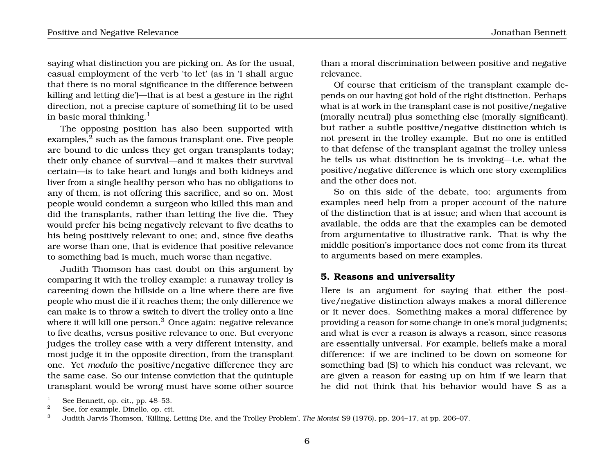saying what distinction you are picking on. As for the usual, casual employment of the verb 'to let' (as in 'I shall argue that there is no moral significance in the difference between killing and letting die')—that is at best a gesture in the right direction, not a precise capture of something fit to be used in basic moral thinking. $<sup>1</sup>$ </sup>

The opposing position has also been supported with examples,<sup>2</sup> such as the famous transplant one. Five people are bound to die unless they get organ transplants today; their only chance of survival—and it makes their survival certain—is to take heart and lungs and both kidneys and liver from a single healthy person who has no obligations to any of them, is not offering this sacrifice, and so on. Most people would condemn a surgeon who killed this man and did the transplants, rather than letting the five die. They would prefer his being negatively relevant to five deaths to his being positively relevant to one; and, since five deaths are worse than one, that is evidence that positive relevance to something bad is much, much worse than negative.

Judith Thomson has cast doubt on this argument by comparing it with the trolley example: a runaway trolley is careening down the hillside on a line where there are five people who must die if it reaches them; the only difference we can make is to throw a switch to divert the trolley onto a line where it will kill one person.<sup>3</sup> Once again: negative relevance to five deaths, versus positive relevance to one. But everyone judges the trolley case with a very different intensity, and most judge it in the opposite direction, from the transplant one. Yet *modulo* the positive/negative difference they are the same case. So our intense conviction that the quintuple transplant would be wrong must have some other source

than a moral discrimination between positive and negative relevance.

Of course that criticism of the transplant example depends on our having got hold of the right distinction. Perhaps what is at work in the transplant case is not positive/negative (morally neutral) plus something else (morally significant). but rather a subtle positive/negative distinction which is not present in the trolley example. But no one is entitled to that defense of the transplant against the trolley unless he tells us what distinction he is invoking—i.e. what the positive/negative difference is which one story exemplifies and the other does not.

So on this side of the debate, too; arguments from examples need help from a proper account of the nature of the distinction that is at issue; and when that account is available, the odds are that the examples can be demoted from argumentative to illustrative rank. That is why the middle position's importance does not come from its threat to arguments based on mere examples.

## **5. Reasons and universality**

Here is an argument for saying that either the positive/negative distinction always makes a moral difference or it never does. Something makes a moral difference by providing a reason for some change in one's moral judgments; and what is ever a reason is always a reason, since reasons are essentially universal. For example, beliefs make a moral difference: if we are inclined to be down on someone for something bad (S) to which his conduct was relevant, we are given a reason for easing up on him if we learn that he did not think that his behavior would have S as a

<sup>&</sup>lt;sup>1</sup> See Bennett, op. cit., pp. 48–53.<br><sup>2</sup> See fan symmele Dinelle en sit.

<sup>&</sup>lt;sup>2</sup> See, for example, Dinello, op. cit.

<sup>3</sup> Judith Jarvis Thomson, 'Killing, Letting Die, and the Trolley Problem', *The Monist* S9 (1976), pp. 204–17, at pp. 206–07.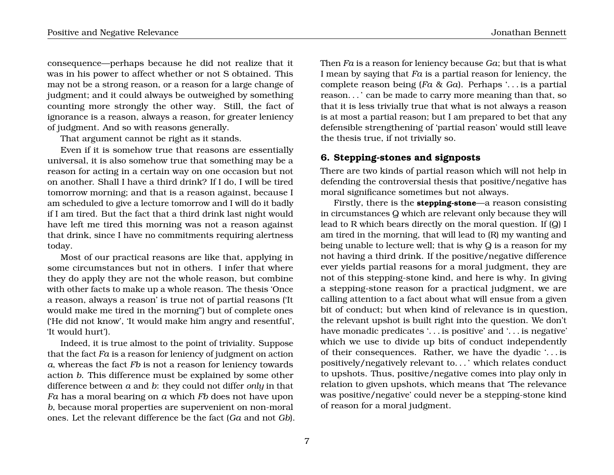consequence—perhaps because he did not realize that it was in his power to affect whether or not S obtained. This may not be a strong reason, or a reason for a large change of judgment; and it could always be outweighed by something counting more strongly the other way. Still, the fact of ignorance is a reason, always a reason, for greater leniency of judgment. And so with reasons generally.

That argument cannot be right as it stands.

Even if it is somehow true that reasons are essentially universal, it is also somehow true that something may be a reason for acting in a certain way on one occasion but not on another. Shall I have a third drink? If I do, I will be tired tomorrow morning; and that is a reason against, because I am scheduled to give a lecture tomorrow and I will do it badly if I am tired. But the fact that a third drink last night would have left me tired this morning was not a reason against that drink, since I have no commitments requiring alertness today.

Most of our practical reasons are like that, applying in some circumstances but not in others. I infer that where they do apply they are not the whole reason, but combine with other facts to make up a whole reason. The thesis 'Once a reason, always a reason' is true not of partial reasons ('It would make me tired in the morning") but of complete ones ('He did not know', 'It would make him angry and resentful', 'It would hurt').

Indeed, it is true almost to the point of triviality. Suppose that the fact *Fa* is a reason for leniency of judgment on action *a*, whereas the fact *Fb* is not a reason for leniency towards action *b*. This difference must be explained by some other difference between *a* and *b*: they could not differ *only* in that *Fa* has a moral bearing on *a* which *Fb* does not have upon *b*, because moral properties are supervenient on non-moral ones. Let the relevant difference be the fact (*Ga* and not *Gb*). Then *Fa* is a reason for leniency because *Ga*; but that is what I mean by saying that *Fa* is a partial reason for leniency, the complete reason being (*Fa* & *Ga*). Perhaps '. . . is a partial reason. . . ' can be made to carry more meaning than that, so that it is less trivially true that what is not always a reason is at most a partial reason; but I am prepared to bet that any defensible strengthening of 'partial reason' would still leave the thesis true, if not trivially so.

## **6. Stepping-stones and signposts**

There are two kinds of partial reason which will not help in defending the controversial thesis that positive/negative has moral significance sometimes but not always.

Firstly, there is the **stepping-stone**—a reason consisting in circumstances Q which are relevant only because they will lead to R which bears directly on the moral question. If (Q) I am tired in the morning, that will lead to (R) my wanting and being unable to lecture well; that is why Q is a reason for my not having a third drink. If the positive/negative difference ever yields partial reasons for a moral judgment, they are not of this stepping-stone kind, and here is why. In giving a stepping-stone reason for a practical judgment, we are calling attention to a fact about what will ensue from a given bit of conduct; but when kind of relevance is in question, the relevant upshot is built right into the question. We don't have monadic predicates '. . . is positive' and '. . . is negative' which we use to divide up bits of conduct independently of their consequences. Rather, we have the dyadic '. . . is positively/negatively relevant to. . . ' which relates conduct to upshots. Thus, positive/negative comes into play only in relation to given upshots, which means that 'The relevance was positive/negative' could never be a stepping-stone kind of reason for a moral judgment.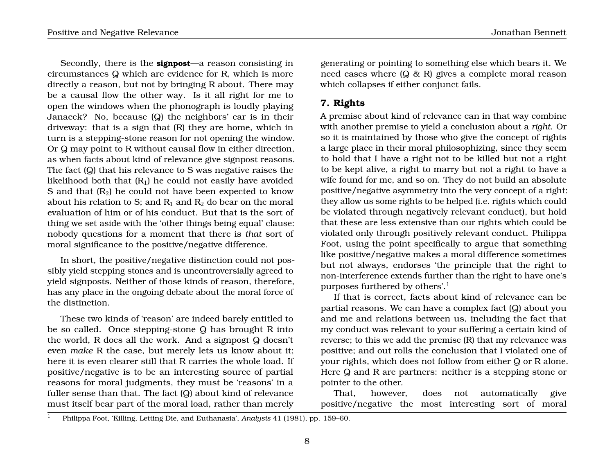Secondly, there is the **signpost**—a reason consisting in circumstances Q which are evidence for R, which is more directly a reason, but not by bringing R about. There may be a causal flow the other way. Is it all right for me to open the windows when the phonograph is loudly playing Janacek? No, because (Q) the neighbors' car is in their driveway: that is a sign that (R) they are home, which in turn is a stepping-stone reason for not opening the window. Or Q may point to R without causal flow in either direction, as when facts about kind of relevance give signpost reasons. The fact (Q) that his relevance to S was negative raises the likelihood both that  $(R_1)$  he could not easily have avoided S and that  $(R_2)$  he could not have been expected to know about his relation to S; and  $R_1$  and  $R_2$  do bear on the moral evaluation of him or of his conduct. But that is the sort of thing we set aside with the 'other things being equal' clause: nobody questions for a moment that there is *that* sort of moral significance to the positive/negative difference.

In short, the positive/negative distinction could not possibly yield stepping stones and is uncontroversially agreed to yield signposts. Neither of those kinds of reason, therefore, has any place in the ongoing debate about the moral force of the distinction.

These two kinds of 'reason' are indeed barely entitled to be so called. Once stepping-stone Q has brought R into the world, R does all the work. And a signpost Q doesn't even *make* R the case, but merely lets us know about it; here it is even clearer still that R carries the whole load. If positive/negative is to be an interesting source of partial reasons for moral judgments, they must be 'reasons' in a fuller sense than that. The fact (Q) about kind of relevance must itself bear part of the moral load, rather than merely generating or pointing to something else which bears it. We need cases where (Q & R) gives a complete moral reason which collapses if either conjunct fails.

# **7. Rights**

A premise about kind of relevance can in that way combine with another premise to yield a conclusion about a *right*. Or so it is maintained by those who give the concept of rights a large place in their moral philosophizing, since they seem to hold that I have a right not to be killed but not a right to be kept alive, a right to marry but not a right to have a wife found for me, and so on. They do not build an absolute positive/negative asymmetry into the very concept of a right: they allow us some rights to be helped (i.e. rights which could be violated through negatively relevant conduct), but hold that these are less extensive than our rights which could be violated only through positively relevant conduct. Philippa Foot, using the point specifically to argue that something like positive/negative makes a moral difference sometimes but not always, endorses 'the principle that the right to non-interference extends further than the right to have one's purposes furthered by others'.<sup>1</sup>

If that is correct, facts about kind of relevance can be partial reasons. We can have a complex fact (Q) about you and me and relations between us, including the fact that my conduct was relevant to your suffering a certain kind of reverse; to this we add the premise (R) that my relevance was positive; and out rolls the conclusion that I violated one of your rights, which does not follow from either Q or R alone. Here Q and R are partners: neither is a stepping stone or pointer to the other.

That, however, does not automatically give positive/negative the most interesting sort of moral

<sup>1</sup> Philippa Foot, 'Killing, Letting Die, and Euthanasia', *Analysis* 41 (1981), pp. 159–60.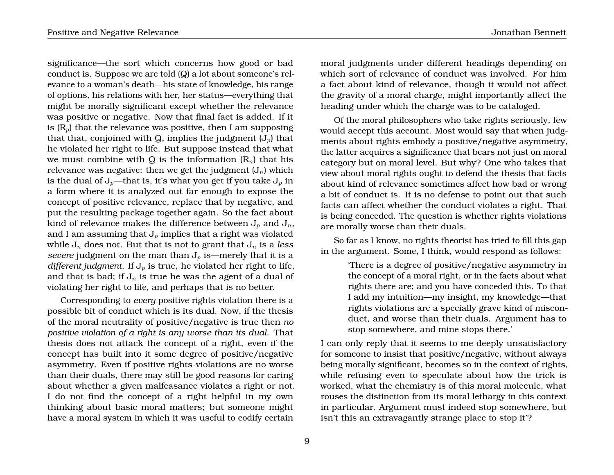significance—the sort which concerns how good or bad conduct is. Suppose we are told (Q) a lot about someone's relevance to a woman's death—his state of knowledge, his range of options, his relations with her, her status—everything that might be morally significant except whether the relevance was positive or negative. Now that final fact is added. If it is  $(R_n)$  that the relevance was positive, then I am supposing that that, conjoined with Q, implies the judgment  $(J_p)$  that he violated her right to life. But suppose instead that what we must combine with Q is the information  $(R_n)$  that his relevance was negative: then we get the judgment  $(J_n)$  which is the dual of  $J_p$ —that is, it's what you get if you take  $J_p$  in a form where it is analyzed out far enough to expose the concept of positive relevance, replace that by negative, and put the resulting package together again. So the fact about kind of relevance makes the difference between  $J_p$  and  $J_p$ , and I am assuming that  $J_p$  implies that a right was violated while  $J_n$  does not. But that is not to grant that  $J_n$  is a *less severe* judgment on the man than  $J_p$  is—merely that it is a *different judgment*. If  $J_p$  is true, he violated her right to life, and that is bad; if  $J_n$  is true he was the agent of a dual of violating her right to life, and perhaps that is no better.

Corresponding to *every* positive rights violation there is a possible bit of conduct which is its dual. Now, if the thesis of the moral neutrality of positive/negative is true then *no positive violation of a right is any worse than its dual*. That thesis does not attack the concept of a right, even if the concept has built into it some degree of positive/negative asymmetry. Even if positive rights-violations are no worse than their duals, there may still be good reasons for caring about whether a given malfeasance violates a right or not. I do not find the concept of a right helpful in my own thinking about basic moral matters; but someone might have a moral system in which it was useful to codify certain

moral judgments under different headings depending on which sort of relevance of conduct was involved. For him a fact about kind of relevance, though it would not affect the gravity of a moral charge, might importantly affect the heading under which the charge was to be cataloged.

Of the moral philosophers who take rights seriously, few would accept this account. Most would say that when judgments about rights embody a positive/negative asymmetry, the latter acquires a significance that bears not just on moral category but on moral level. But why? One who takes that view about moral rights ought to defend the thesis that facts about kind of relevance sometimes affect how bad or wrong a bit of conduct is. It is no defense to point out that such facts can affect whether the conduct violates a right. That is being conceded. The question is whether rights violations are morally worse than their duals.

So far as I know, no rights theorist has tried to fill this gap in the argument. Some, I think, would respond as follows:

> 'There is a degree of positive/negative asymmetry in the concept of a moral right, or in the facts about what rights there are; and you have conceded this. To that I add my intuition—my insight, my knowledge—that rights violations are a specially grave kind of misconduct, and worse than their duals. Argument has to stop somewhere, and mine stops there.'

I can only reply that it seems to me deeply unsatisfactory for someone to insist that positive/negative, without always being morally significant, becomes so in the context of rights, while refusing even to speculate about how the trick is worked, what the chemistry is of this moral molecule, what rouses the distinction from its moral lethargy in this context in particular. Argument must indeed stop somewhere, but isn't this an extravagantly strange place to stop it'?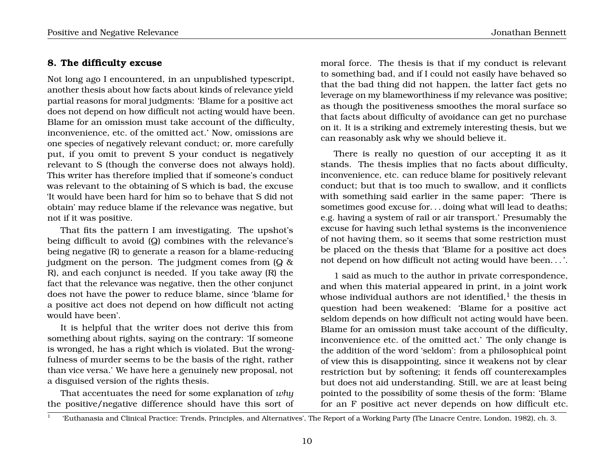## **8. The difficulty excuse**

Not long ago I encountered, in an unpublished typescript, another thesis about how facts about kinds of relevance yield partial reasons for moral judgments: 'Blame for a positive act does not depend on how difficult not acting would have been. Blame for an omission must take account of the difficulty, inconvenience, etc. of the omitted act.' Now, omissions are one species of negatively relevant conduct; or, more carefully put, if you omit to prevent S your conduct is negatively relevant to S (though the converse does not always hold). This writer has therefore implied that if someone's conduct was relevant to the obtaining of S which is bad, the excuse 'It would have been hard for him so to behave that S did not obtain' may reduce blame if the relevance was negative, but not if it was positive.

That fits the pattern I am investigating. The upshot's being difficult to avoid (Q) combines with the relevance's being negative (R) to generate a reason for a blame-reducing judgment on the person. The judgment comes from  $\left(Q \right) \&$ R), and each conjunct is needed. If you take away (R) the fact that the relevance was negative, then the other conjunct does not have the power to reduce blame, since 'blame for a positive act does not depend on how difficult not acting would have been'.

It is helpful that the writer does not derive this from something about rights, saying on the contrary: 'If someone is wronged, he has a right which is violated. But the wrongfulness of murder seems to be the basis of the right, rather than vice versa.' We have here a genuinely new proposal, not a disguised version of the rights thesis.

That accentuates the need for some explanation of *why* the positive/negative difference should have this sort of moral force. The thesis is that if my conduct is relevant to something bad, and if I could not easily have behaved so that the bad thing did not happen, the latter fact gets no leverage on my blameworthiness if my relevance was positive; as though the positiveness smoothes the moral surface so that facts about difficulty of avoidance can get no purchase on it. It is a striking and extremely interesting thesis, but we can reasonably ask why we should believe it.

There is really no question of our accepting it as it stands. The thesis implies that no facts about difficulty, inconvenience, etc. can reduce blame for positively relevant conduct; but that is too much to swallow, and it conflicts with something said earlier in the same paper: 'There is sometimes good excuse for. . . doing what will lead to deaths; e.g. having a system of rail or air transport.' Presumably the excuse for having such lethal systems is the inconvenience of not having them, so it seems that some restriction must be placed on the thesis that 'Blame for a positive act does not depend on how difficult not acting would have been. . . '.

1 said as much to the author in private correspondence, and when this material appeared in print, in a joint work whose individual authors are not identified, $^{\rm l}$  the thesis in question had been weakened: 'Blame for a positive act seldom depends on how difficult not acting would have been. Blame for an omission must take account of the difficulty, inconvenience etc. of the omitted act.' The only change is the addition of the word 'seldom': from a philosophical point of view this is disappointing, since it weakens not by clear restriction but by softening; it fends off counterexamples but does not aid understanding. Still, we are at least being pointed to the possibility of some thesis of the form: 'Blame for an F positive act never depends on how difficult etc.

<sup>1</sup> 'Euthanasia and Clinical Practice: Trends, Principles, and Alternatives', The Report of a Working Party (The Linacre Centre, London, 1982), ch. 3.